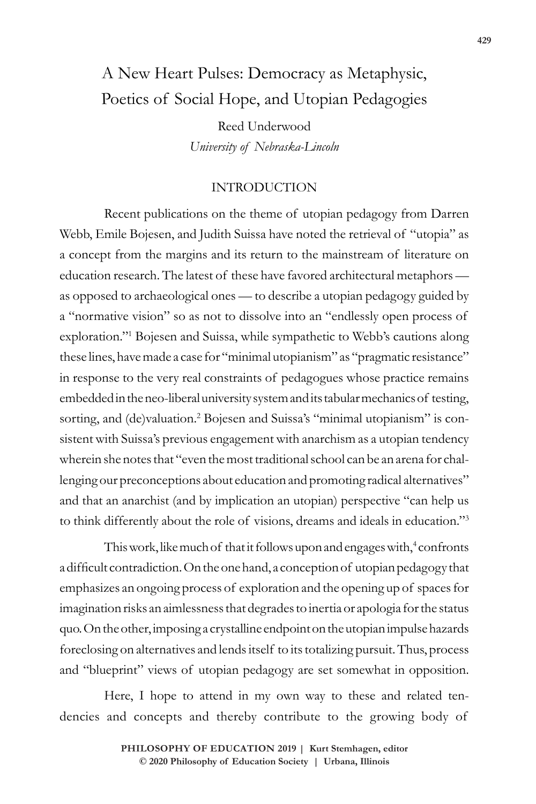# A New Heart Pulses: Democracy as Metaphysic, Poetics of Social Hope, and Utopian Pedagogies

Reed Underwood *University of Nebraska-Lincoln*

# INTRODUCTION

Recent publications on the theme of utopian pedagogy from Darren Webb, Emile Bojesen, and Judith Suissa have noted the retrieval of "utopia" as a concept from the margins and its return to the mainstream of literature on education research. The latest of these have favored architectural metaphors as opposed to archaeological ones — to describe a utopian pedagogy guided by a "normative vision" so as not to dissolve into an "endlessly open process of exploration."1 Bojesen and Suissa, while sympathetic to Webb's cautions along these lines, have made a case for "minimal utopianism" as "pragmatic resistance" in response to the very real constraints of pedagogues whose practice remains embedded in the neo-liberal university system and its tabular mechanics of testing, sorting, and (de)valuation.<sup>2</sup> Bojesen and Suissa's "minimal utopianism" is consistent with Suissa's previous engagement with anarchism as a utopian tendency wherein she notes that "even the most traditional school can be an arena for challenging our preconceptions about education and promoting radical alternatives" and that an anarchist (and by implication an utopian) perspective "can help us to think differently about the role of visions, dreams and ideals in education."3

This work, like much of that it follows upon and engages with,<sup>4</sup> confronts a difficult contradiction. On the one hand, a conception of utopian pedagogy that emphasizes an ongoing process of exploration and the opening up of spaces for imagination risks an aimlessness that degrades to inertia or apologia for the status quo. On the other, imposing a crystalline endpoint on the utopian impulse hazards foreclosing on alternatives and lends itself to its totalizing pursuit. Thus, process and "blueprint" views of utopian pedagogy are set somewhat in opposition.

Here, I hope to attend in my own way to these and related tendencies and concepts and thereby contribute to the growing body of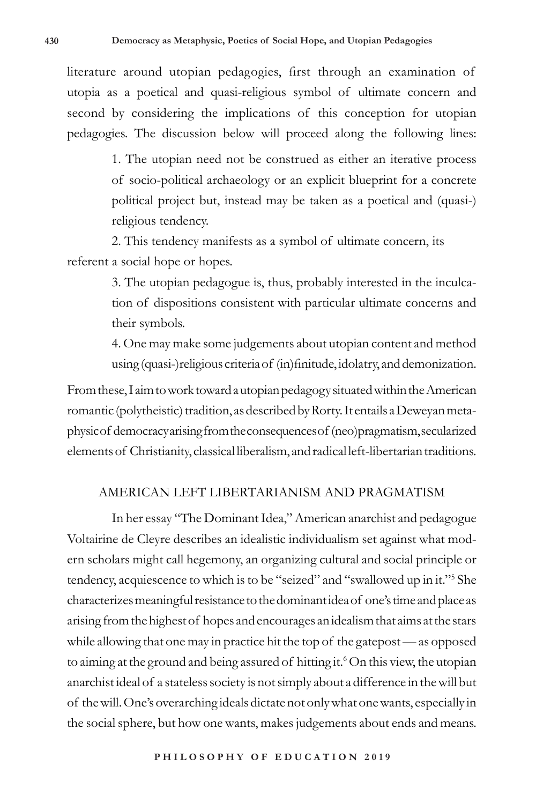literature around utopian pedagogies, first through an examination of utopia as a poetical and quasi-religious symbol of ultimate concern and second by considering the implications of this conception for utopian pedagogies. The discussion below will proceed along the following lines:

> 1. The utopian need not be construed as either an iterative process of socio-political archaeology or an explicit blueprint for a concrete political project but, instead may be taken as a poetical and (quasi-) religious tendency.

2. This tendency manifests as a symbol of ultimate concern, its referent a social hope or hopes.

> 3. The utopian pedagogue is, thus, probably interested in the inculcation of dispositions consistent with particular ultimate concerns and their symbols.

> 4. One may make some judgements about utopian content and method using (quasi-)religious criteria of (in)finitude, idolatry, and demonization.

From these, I aim to work toward a utopian pedagogy situated within the American romantic (polytheistic) tradition, as described by Rorty. It entails a Deweyan metaphysic of democracy arising from the consequences of (neo)pragmatism, secularized elements of Christianity, classical liberalism, and radical left-libertarian traditions.

## AMERICAN LEFT LIBERTARIANISM AND PRAGMATISM

In her essay "The Dominant Idea," American anarchist and pedagogue Voltairine de Cleyre describes an idealistic individualism set against what modern scholars might call hegemony, an organizing cultural and social principle or tendency, acquiescence to which is to be "seized" and "swallowed up in it."5 She characterizes meaningful resistance to the dominant idea of one's time and place as arising from the highest of hopes and encourages an idealism that aims at the stars while allowing that one may in practice hit the top of the gatepost — as opposed to aiming at the ground and being assured of hitting it.<sup>6</sup> On this view, the utopian anarchist ideal of a stateless society is not simply about a difference in the will but of the will. One's overarching ideals dictate not only what one wants, especially in the social sphere, but how one wants, makes judgements about ends and means.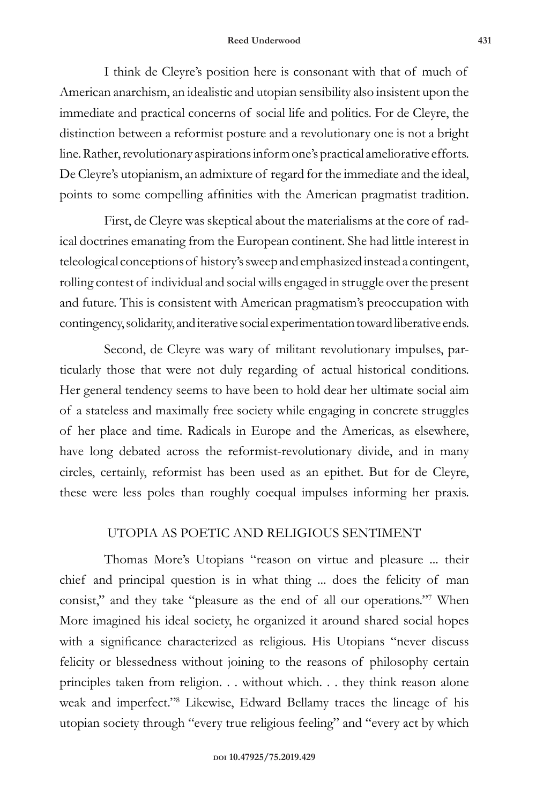#### **Reed Underwood 431**

I think de Cleyre's position here is consonant with that of much of American anarchism, an idealistic and utopian sensibility also insistent upon the immediate and practical concerns of social life and politics. For de Cleyre, the distinction between a reformist posture and a revolutionary one is not a bright line. Rather, revolutionary aspirations inform one's practical ameliorative efforts. De Cleyre's utopianism, an admixture of regard for the immediate and the ideal, points to some compelling affinities with the American pragmatist tradition.

First, de Cleyre was skeptical about the materialisms at the core of radical doctrines emanating from the European continent. She had little interest in teleological conceptions of history's sweep and emphasized instead a contingent, rolling contest of individual and social wills engaged in struggle over the present and future. This is consistent with American pragmatism's preoccupation with contingency, solidarity, and iterative social experimentation toward liberative ends.

Second, de Cleyre was wary of militant revolutionary impulses, particularly those that were not duly regarding of actual historical conditions. Her general tendency seems to have been to hold dear her ultimate social aim of a stateless and maximally free society while engaging in concrete struggles of her place and time. Radicals in Europe and the Americas, as elsewhere, have long debated across the reformist-revolutionary divide, and in many circles, certainly, reformist has been used as an epithet. But for de Cleyre, these were less poles than roughly coequal impulses informing her praxis.

# UTOPIA AS POETIC AND RELIGIOUS SENTIMENT

Thomas More's Utopians "reason on virtue and pleasure ... their chief and principal question is in what thing ... does the felicity of man consist," and they take "pleasure as the end of all our operations."7 When More imagined his ideal society, he organized it around shared social hopes with a significance characterized as religious. His Utopians "never discuss felicity or blessedness without joining to the reasons of philosophy certain principles taken from religion. . . without which. . . they think reason alone weak and imperfect."8 Likewise, Edward Bellamy traces the lineage of his utopian society through "every true religious feeling" and "every act by which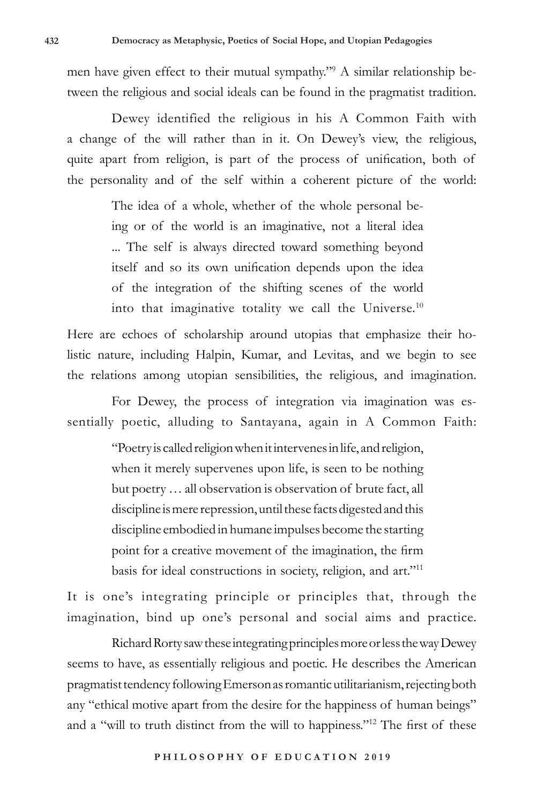men have given effect to their mutual sympathy."9 A similar relationship between the religious and social ideals can be found in the pragmatist tradition.

Dewey identified the religious in his A Common Faith with a change of the will rather than in it. On Dewey's view, the religious, quite apart from religion, is part of the process of unification, both of the personality and of the self within a coherent picture of the world:

> The idea of a whole, whether of the whole personal being or of the world is an imaginative, not a literal idea ... The self is always directed toward something beyond itself and so its own unification depends upon the idea of the integration of the shifting scenes of the world into that imaginative totality we call the Universe.<sup>10</sup>

Here are echoes of scholarship around utopias that emphasize their holistic nature, including Halpin, Kumar, and Levitas, and we begin to see the relations among utopian sensibilities, the religious, and imagination.

For Dewey, the process of integration via imagination was essentially poetic, alluding to Santayana, again in A Common Faith:

> "Poetry is called religion when it intervenes in life, and religion, when it merely supervenes upon life, is seen to be nothing but poetry … all observation is observation of brute fact, all discipline is mere repression, until these facts digested and this discipline embodied in humane impulses become the starting point for a creative movement of the imagination, the firm basis for ideal constructions in society, religion, and art."11

It is one's integrating principle or principles that, through the imagination, bind up one's personal and social aims and practice.

Richard Rorty saw these integrating principles more or less the way Dewey seems to have, as essentially religious and poetic. He describes the American pragmatist tendency following Emerson as romantic utilitarianism, rejecting both any "ethical motive apart from the desire for the happiness of human beings" and a "will to truth distinct from the will to happiness."12 The first of these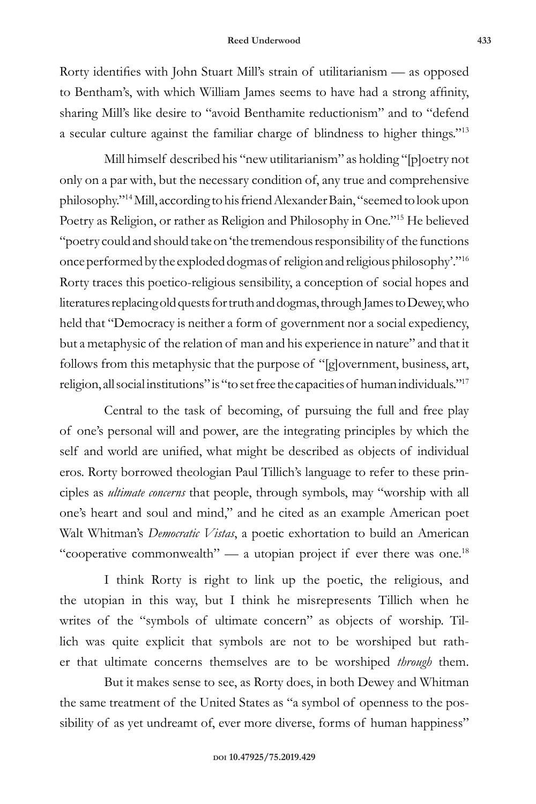Rorty identifies with John Stuart Mill's strain of utilitarianism — as opposed to Bentham's, with which William James seems to have had a strong affinity, sharing Mill's like desire to "avoid Benthamite reductionism" and to "defend a secular culture against the familiar charge of blindness to higher things."13

Mill himself described his "new utilitarianism" as holding "[p]oetry not only on a par with, but the necessary condition of, any true and comprehensive philosophy."14 Mill, according to his friend Alexander Bain, "seemed to look upon Poetry as Religion, or rather as Religion and Philosophy in One."15 He believed "poetry could and should take on 'the tremendous responsibility of the functions once performed by the exploded dogmas of religion and religious philosophy'."16 Rorty traces this poetico-religious sensibility, a conception of social hopes and literatures replacing old quests for truth and dogmas, through James to Dewey, who held that "Democracy is neither a form of government nor a social expediency, but a metaphysic of the relation of man and his experience in nature" and that it follows from this metaphysic that the purpose of "[g]overnment, business, art, religion, all social institutions" is "to set free the capacities of human individuals."17

Central to the task of becoming, of pursuing the full and free play of one's personal will and power, are the integrating principles by which the self and world are unified, what might be described as objects of individual eros. Rorty borrowed theologian Paul Tillich's language to refer to these principles as *ultimate concerns* that people, through symbols, may "worship with all one's heart and soul and mind," and he cited as an example American poet Walt Whitman's *Democratic Vistas*, a poetic exhortation to build an American "cooperative commonwealth" — a utopian project if ever there was one.<sup>18</sup>

I think Rorty is right to link up the poetic, the religious, and the utopian in this way, but I think he misrepresents Tillich when he writes of the "symbols of ultimate concern" as objects of worship. Tillich was quite explicit that symbols are not to be worshiped but rather that ultimate concerns themselves are to be worshiped *through* them.

But it makes sense to see, as Rorty does, in both Dewey and Whitman the same treatment of the United States as "a symbol of openness to the possibility of as yet undreamt of, ever more diverse, forms of human happiness"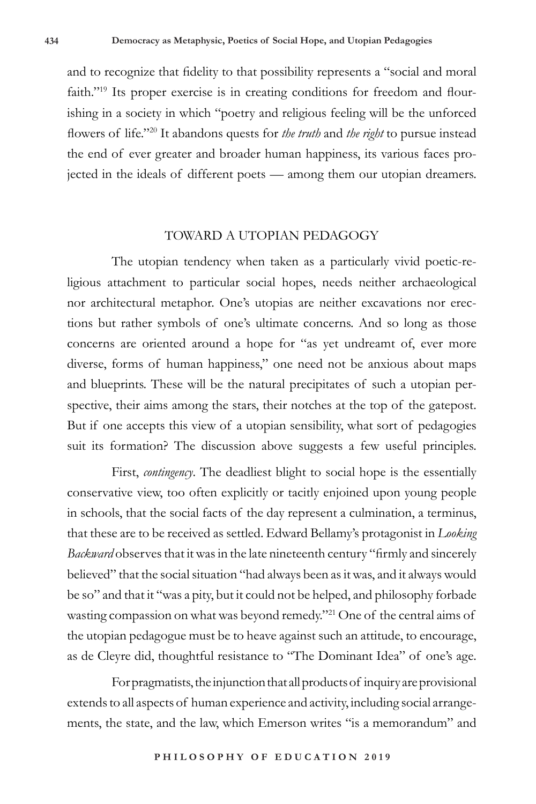and to recognize that fidelity to that possibility represents a "social and moral faith."<sup>19</sup> Its proper exercise is in creating conditions for freedom and flourishing in a society in which "poetry and religious feeling will be the unforced flowers of life."20 It abandons quests for *the truth* and *the right* to pursue instead the end of ever greater and broader human happiness, its various faces projected in the ideals of different poets — among them our utopian dreamers.

## TOWARD A UTOPIAN PEDAGOGY

The utopian tendency when taken as a particularly vivid poetic-religious attachment to particular social hopes, needs neither archaeological nor architectural metaphor. One's utopias are neither excavations nor erections but rather symbols of one's ultimate concerns. And so long as those concerns are oriented around a hope for "as yet undreamt of, ever more diverse, forms of human happiness," one need not be anxious about maps and blueprints. These will be the natural precipitates of such a utopian perspective, their aims among the stars, their notches at the top of the gatepost. But if one accepts this view of a utopian sensibility, what sort of pedagogies suit its formation? The discussion above suggests a few useful principles.

First, *contingency*. The deadliest blight to social hope is the essentially conservative view, too often explicitly or tacitly enjoined upon young people in schools, that the social facts of the day represent a culmination, a terminus, that these are to be received as settled. Edward Bellamy's protagonist in *Looking Backward* observes that it was in the late nineteenth century "firmly and sincerely believed" that the social situation "had always been as it was, and it always would be so" and that it "was a pity, but it could not be helped, and philosophy forbade wasting compassion on what was beyond remedy."21 One of the central aims of the utopian pedagogue must be to heave against such an attitude, to encourage, as de Cleyre did, thoughtful resistance to "The Dominant Idea" of one's age.

For pragmatists, the injunction that all products of inquiry are provisional extends to all aspects of human experience and activity, including social arrangements, the state, and the law, which Emerson writes "is a memorandum" and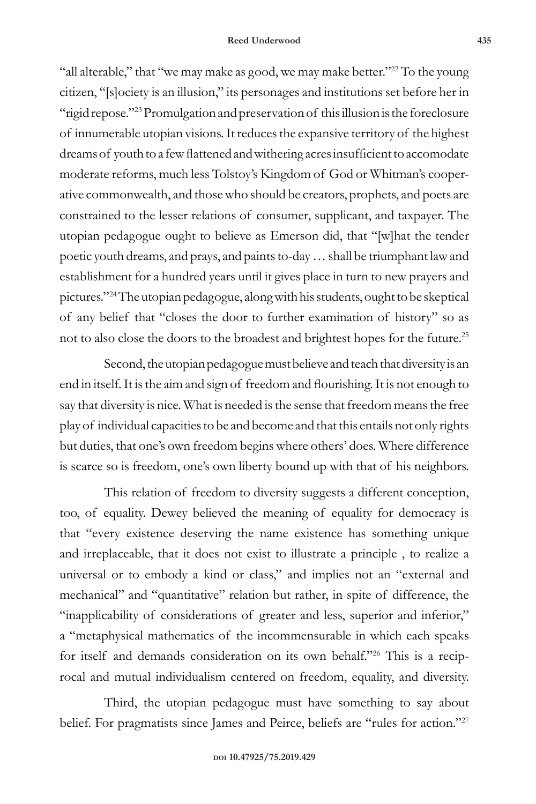"all alterable," that "we may make as good, we may make better." $^{22}$  To the young citizen, "[s]ociety is an illusion," its personages and institutions set before her in "rigid repose."<sup>23</sup> Promulgation and preservation of this illusion is the foreclosure of innumerable utopian visions. It reduces the expansive territory of the highest dreams of youth to a few flattened and withering acres insufficient to accomodate moderate reforms, much less Tolstoy's Kingdom of God or Whitman's cooperative commonwealth, and those who should be creators, prophets, and poets are constrained to the lesser relations of consumer, supplicant, and taxpayer. The utopian pedagogue ought to believe as Emerson did, that "[w]hat the tender poetic youth dreams, and prays, and paints to-day … shall be triumphant law and establishment for a hundred years until it gives place in turn to new prayers and pictures."24 The utopian pedagogue, along with his students, ought to be skeptical of any belief that "closes the door to further examination of history" so as not to also close the doors to the broadest and brightest hopes for the future.25

Second, the utopian pedagogue must believe and teach that diversity is an end in itself. It is the aim and sign of freedom and flourishing. It is not enough to say that diversity is nice. What is needed is the sense that freedom means the free play of individual capacities to be and become and that this entails not only rights but duties, that one's own freedom begins where others' does. Where difference is scarce so is freedom, one's own liberty bound up with that of his neighbors.

This relation of freedom to diversity suggests a different conception, too, of equality. Dewey believed the meaning of equality for democracy is that "every existence deserving the name existence has something unique and irreplaceable, that it does not exist to illustrate a principle , to realize a universal or to embody a kind or class," and implies not an "external and mechanical" and "quantitative" relation but rather, in spite of difference, the "inapplicability of considerations of greater and less, superior and inferior," a "metaphysical mathematics of the incommensurable in which each speaks for itself and demands consideration on its own behalf."26 This is a reciprocal and mutual individualism centered on freedom, equality, and diversity.

Third, the utopian pedagogue must have something to say about belief. For pragmatists since James and Peirce, beliefs are "rules for action."<sup>27</sup>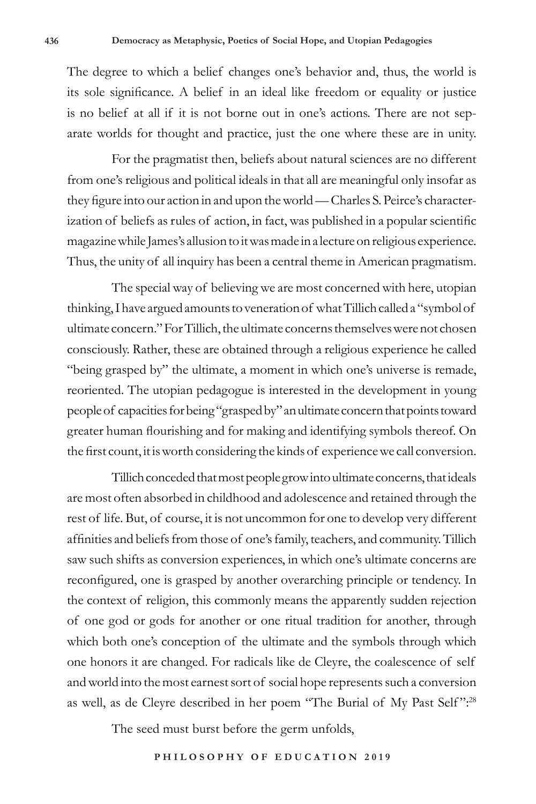The degree to which a belief changes one's behavior and, thus, the world is its sole significance. A belief in an ideal like freedom or equality or justice is no belief at all if it is not borne out in one's actions. There are not separate worlds for thought and practice, just the one where these are in unity.

For the pragmatist then, beliefs about natural sciences are no different from one's religious and political ideals in that all are meaningful only insofar as they figure into our action in and upon the world — Charles S. Peirce's characterization of beliefs as rules of action, in fact, was published in a popular scientific magazine while James's allusion to it was made in a lecture on religious experience. Thus, the unity of all inquiry has been a central theme in American pragmatism.

The special way of believing we are most concerned with here, utopian thinking, I have argued amounts to veneration of what Tillich called a "symbol of ultimate concern." For Tillich, the ultimate concerns themselves were not chosen consciously. Rather, these are obtained through a religious experience he called "being grasped by" the ultimate, a moment in which one's universe is remade, reoriented. The utopian pedagogue is interested in the development in young people of capacities for being "grasped by" an ultimate concern that points toward greater human flourishing and for making and identifying symbols thereof. On the first count, it is worth considering the kinds of experience we call conversion.

Tillich conceded that most people grow into ultimate concerns, that ideals are most often absorbed in childhood and adolescence and retained through the rest of life. But, of course, it is not uncommon for one to develop very different affinities and beliefs from those of one's family, teachers, and community. Tillich saw such shifts as conversion experiences, in which one's ultimate concerns are reconfigured, one is grasped by another overarching principle or tendency. In the context of religion, this commonly means the apparently sudden rejection of one god or gods for another or one ritual tradition for another, through which both one's conception of the ultimate and the symbols through which one honors it are changed. For radicals like de Cleyre, the coalescence of self and world into the most earnest sort of social hope represents such a conversion as well, as de Cleyre described in her poem "The Burial of My Past Self ":28

The seed must burst before the germ unfolds,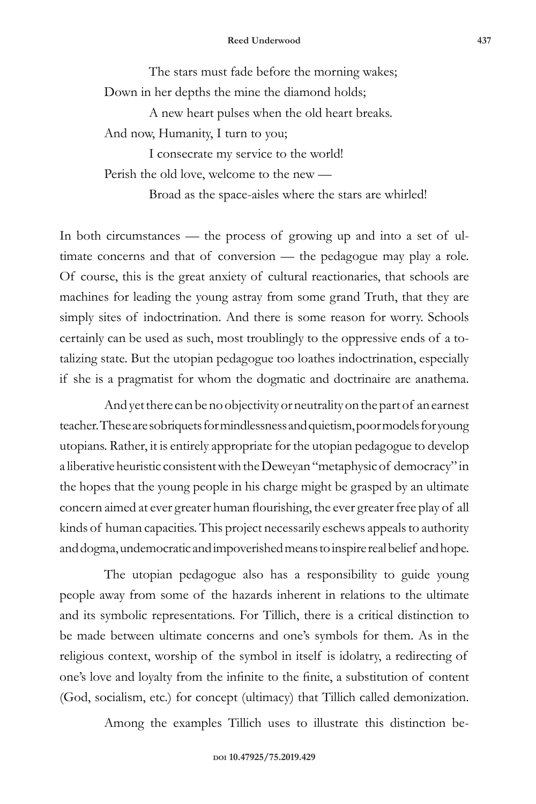The stars must fade before the morning wakes; Down in her depths the mine the diamond holds;

A new heart pulses when the old heart breaks. And now, Humanity, I turn to you;

I consecrate my service to the world! Perish the old love, welcome to the new —

Broad as the space-aisles where the stars are whirled!

In both circumstances — the process of growing up and into a set of ultimate concerns and that of conversion — the pedagogue may play a role. Of course, this is the great anxiety of cultural reactionaries, that schools are machines for leading the young astray from some grand Truth, that they are simply sites of indoctrination. And there is some reason for worry. Schools certainly can be used as such, most troublingly to the oppressive ends of a totalizing state. But the utopian pedagogue too loathes indoctrination, especially if she is a pragmatist for whom the dogmatic and doctrinaire are anathema.

And yet there can be no objectivity or neutrality on the part of an earnest teacher. These are sobriquets for mindlessness and quietism, poor models for young utopians. Rather, it is entirely appropriate for the utopian pedagogue to develop a liberative heuristic consistent with the Deweyan "metaphysic of democracy" in the hopes that the young people in his charge might be grasped by an ultimate concern aimed at ever greater human flourishing, the ever greater free play of all kinds of human capacities. This project necessarily eschews appeals to authority and dogma, undemocratic and impoverished means to inspire real belief and hope.

The utopian pedagogue also has a responsibility to guide young people away from some of the hazards inherent in relations to the ultimate and its symbolic representations. For Tillich, there is a critical distinction to be made between ultimate concerns and one's symbols for them. As in the religious context, worship of the symbol in itself is idolatry, a redirecting of one's love and loyalty from the infinite to the finite, a substitution of content (God, socialism, etc.) for concept (ultimacy) that Tillich called demonization.

Among the examples Tillich uses to illustrate this distinction be-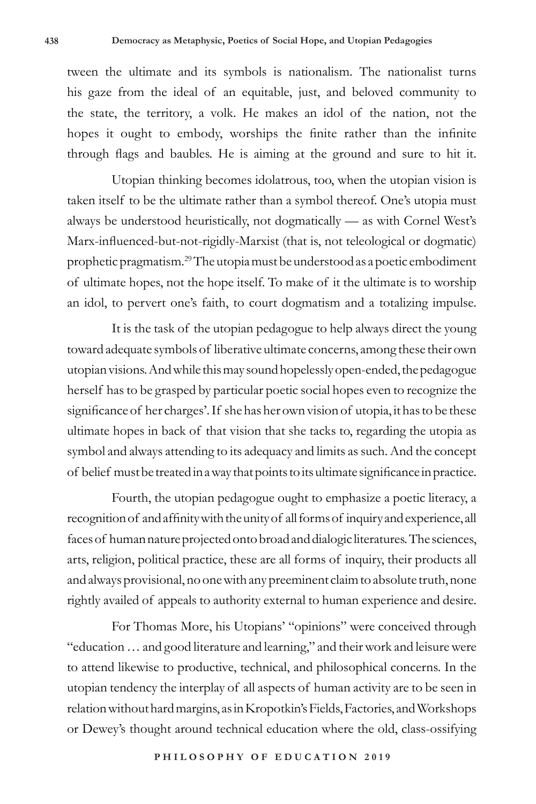tween the ultimate and its symbols is nationalism. The nationalist turns his gaze from the ideal of an equitable, just, and beloved community to the state, the territory, a volk. He makes an idol of the nation, not the hopes it ought to embody, worships the finite rather than the infinite through flags and baubles. He is aiming at the ground and sure to hit it.

Utopian thinking becomes idolatrous, too, when the utopian vision is taken itself to be the ultimate rather than a symbol thereof. One's utopia must always be understood heuristically, not dogmatically — as with Cornel West's Marx-influenced-but-not-rigidly-Marxist (that is, not teleological or dogmatic) prophetic pragmatism.29 The utopia must be understood as a poetic embodiment of ultimate hopes, not the hope itself. To make of it the ultimate is to worship an idol, to pervert one's faith, to court dogmatism and a totalizing impulse.

It is the task of the utopian pedagogue to help always direct the young toward adequate symbols of liberative ultimate concerns, among these their own utopian visions. And while this may sound hopelessly open-ended, the pedagogue herself has to be grasped by particular poetic social hopes even to recognize the significance of her charges'. If she has her own vision of utopia, it has to be these ultimate hopes in back of that vision that she tacks to, regarding the utopia as symbol and always attending to its adequacy and limits as such. And the concept of belief must be treated in a way that points to its ultimate significance in practice.

Fourth, the utopian pedagogue ought to emphasize a poetic literacy, a recognition of and affinity with the unity of all forms of inquiry and experience, all faces of human nature projected onto broad and dialogic literatures. The sciences, arts, religion, political practice, these are all forms of inquiry, their products all and always provisional, no one with any preeminent claim to absolute truth, none rightly availed of appeals to authority external to human experience and desire.

For Thomas More, his Utopians' "opinions" were conceived through "education … and good literature and learning," and their work and leisure were to attend likewise to productive, technical, and philosophical concerns. In the utopian tendency the interplay of all aspects of human activity are to be seen in relation without hard margins, as in Kropotkin's Fields, Factories, and Workshops or Dewey's thought around technical education where the old, class-ossifying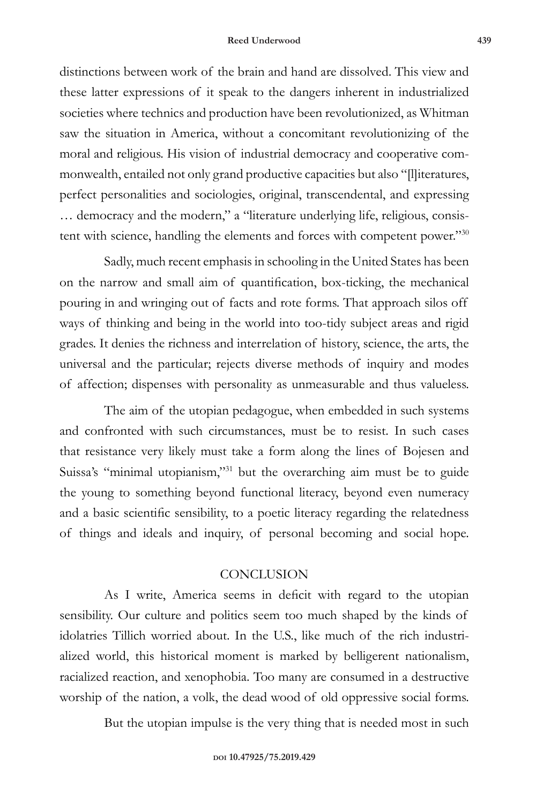distinctions between work of the brain and hand are dissolved. This view and these latter expressions of it speak to the dangers inherent in industrialized societies where technics and production have been revolutionized, as Whitman saw the situation in America, without a concomitant revolutionizing of the moral and religious. His vision of industrial democracy and cooperative commonwealth, entailed not only grand productive capacities but also "[l]iteratures, perfect personalities and sociologies, original, transcendental, and expressing … democracy and the modern," a "literature underlying life, religious, consistent with science, handling the elements and forces with competent power."30

Sadly, much recent emphasis in schooling in the United States has been on the narrow and small aim of quantification, box-ticking, the mechanical pouring in and wringing out of facts and rote forms. That approach silos off ways of thinking and being in the world into too-tidy subject areas and rigid grades. It denies the richness and interrelation of history, science, the arts, the universal and the particular; rejects diverse methods of inquiry and modes of affection; dispenses with personality as unmeasurable and thus valueless.

The aim of the utopian pedagogue, when embedded in such systems and confronted with such circumstances, must be to resist. In such cases that resistance very likely must take a form along the lines of Bojesen and Suissa's "minimal utopianism,"<sup>31</sup> but the overarching aim must be to guide the young to something beyond functional literacy, beyond even numeracy and a basic scientific sensibility, to a poetic literacy regarding the relatedness of things and ideals and inquiry, of personal becoming and social hope.

## **CONCLUSION**

As I write, America seems in deficit with regard to the utopian sensibility. Our culture and politics seem too much shaped by the kinds of idolatries Tillich worried about. In the U.S., like much of the rich industrialized world, this historical moment is marked by belligerent nationalism, racialized reaction, and xenophobia. Too many are consumed in a destructive worship of the nation, a volk, the dead wood of old oppressive social forms.

But the utopian impulse is the very thing that is needed most in such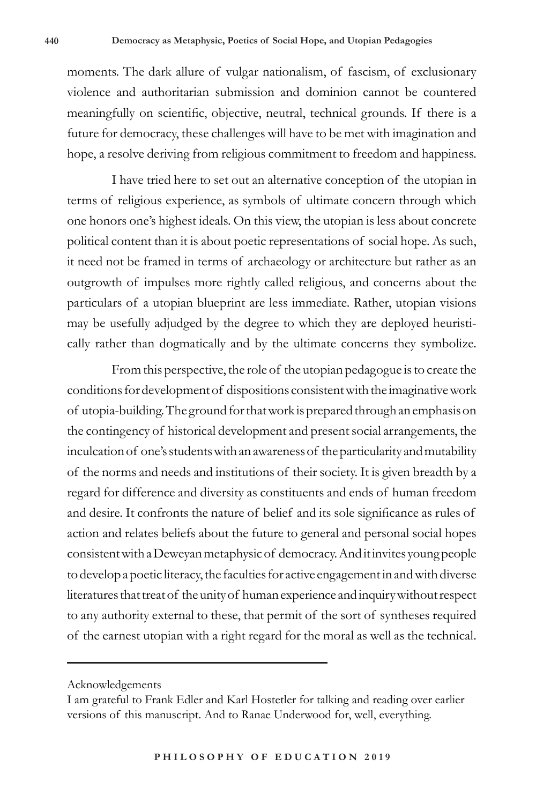moments. The dark allure of vulgar nationalism, of fascism, of exclusionary violence and authoritarian submission and dominion cannot be countered meaningfully on scientific, objective, neutral, technical grounds. If there is a future for democracy, these challenges will have to be met with imagination and hope, a resolve deriving from religious commitment to freedom and happiness.

I have tried here to set out an alternative conception of the utopian in terms of religious experience, as symbols of ultimate concern through which one honors one's highest ideals. On this view, the utopian is less about concrete political content than it is about poetic representations of social hope. As such, it need not be framed in terms of archaeology or architecture but rather as an outgrowth of impulses more rightly called religious, and concerns about the particulars of a utopian blueprint are less immediate. Rather, utopian visions may be usefully adjudged by the degree to which they are deployed heuristically rather than dogmatically and by the ultimate concerns they symbolize.

From this perspective, the role of the utopian pedagogue is to create the conditions for development of dispositions consistent with the imaginative work of utopia-building. The ground for that work is prepared through an emphasis on the contingency of historical development and present social arrangements, the inculcation of one's students with an awareness of the particularity and mutability of the norms and needs and institutions of their society. It is given breadth by a regard for difference and diversity as constituents and ends of human freedom and desire. It confronts the nature of belief and its sole significance as rules of action and relates beliefs about the future to general and personal social hopes consistent with a Deweyan metaphysic of democracy. And it invites young people to develop a poetic literacy, the faculties for active engagement in and with diverse literatures that treat of the unity of human experience and inquiry without respect to any authority external to these, that permit of the sort of syntheses required of the earnest utopian with a right regard for the moral as well as the technical.

Acknowledgements

I am grateful to Frank Edler and Karl Hostetler for talking and reading over earlier versions of this manuscript. And to Ranae Underwood for, well, everything.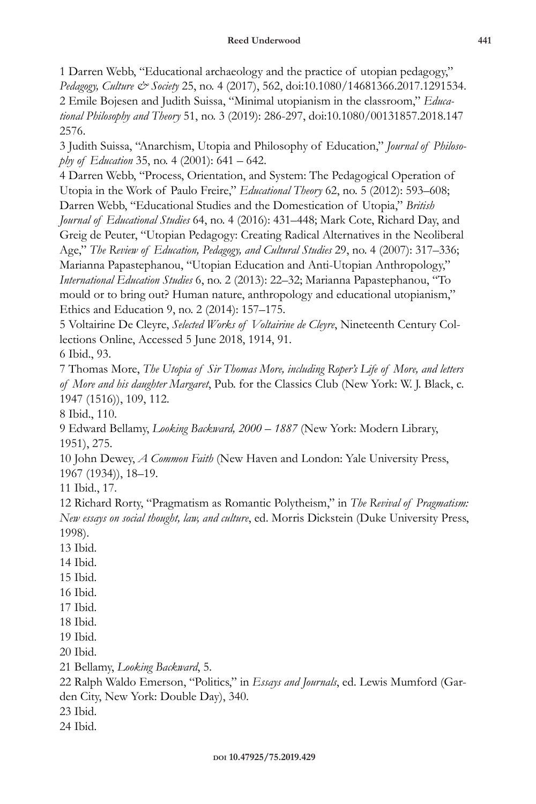1 Darren Webb, "Educational archaeology and the practice of utopian pedagogy," *Pedagogy, Culture & Society* 25, no. 4 (2017), 562, doi:10.1080/14681366.2017.1291534. 2 Emile Bojesen and Judith Suissa, "Minimal utopianism in the classroom," *Educational Philosophy and Theory* 51, no. 3 (2019): 286-297, doi:10.1080/00131857.2018.147 2576.

3 Judith Suissa, "Anarchism, Utopia and Philosophy of Education," *Journal of Philosophy of Education* 35, no. 4 (2001): 641 – 642.

4 Darren Webb, "Process, Orientation, and System: The Pedagogical Operation of Utopia in the Work of Paulo Freire," *Educational Theory* 62, no. 5 (2012): 593–608; Darren Webb, "Educational Studies and the Domestication of Utopia," *British Journal of Educational Studies* 64, no. 4 (2016): 431–448; Mark Cote, Richard Day, and Greig de Peuter, "Utopian Pedagogy: Creating Radical Alternatives in the Neoliberal Age," *The Review of Education, Pedagogy, and Cultural Studies* 29, no. 4 (2007): 317–336; Marianna Papastephanou, "Utopian Education and Anti-Utopian Anthropology," *International Education Studies* 6, no. 2 (2013): 22–32; Marianna Papastephanou, "To mould or to bring out? Human nature, anthropology and educational utopianism," Ethics and Education 9, no. 2 (2014): 157–175.

5 Voltairine De Cleyre, *Selected Works of Voltairine de Cleyre*, Nineteenth Century Collections Online, Accessed 5 June 2018, 1914, 91.

6 Ibid., 93.

7 Thomas More, *The Utopia of Sir Thomas More, including Roper's Life of More, and letters of More and his daughter Margaret*, Pub. for the Classics Club (New York: W. J. Black, c. 1947 (1516)), 109, 112.

8 Ibid., 110.

9 Edward Bellamy, *Looking Backward, 2000 – 1887* (New York: Modern Library, 1951), 275.

10 John Dewey, *A Common Faith* (New Haven and London: Yale University Press, 1967 (1934)), 18–19.

11 Ibid., 17.

12 Richard Rorty, "Pragmatism as Romantic Polytheism," in *The Revival of Pragmatism: New essays on social thought, law, and culture*, ed. Morris Dickstein (Duke University Press, 1998).

13 Ibid.

- 14 Ibid.
- 15 Ibid.
- 16 Ibid.
- 17 Ibid.
- 18 Ibid.
- 19 Ibid.

20 Ibid.

21 Bellamy, *Looking Backward*, 5.

22 Ralph Waldo Emerson, "Politics," in *Essays and Journals*, ed. Lewis Mumford (Garden City, New York: Double Day), 340.

- 23 Ibid.
- 24 Ibid.